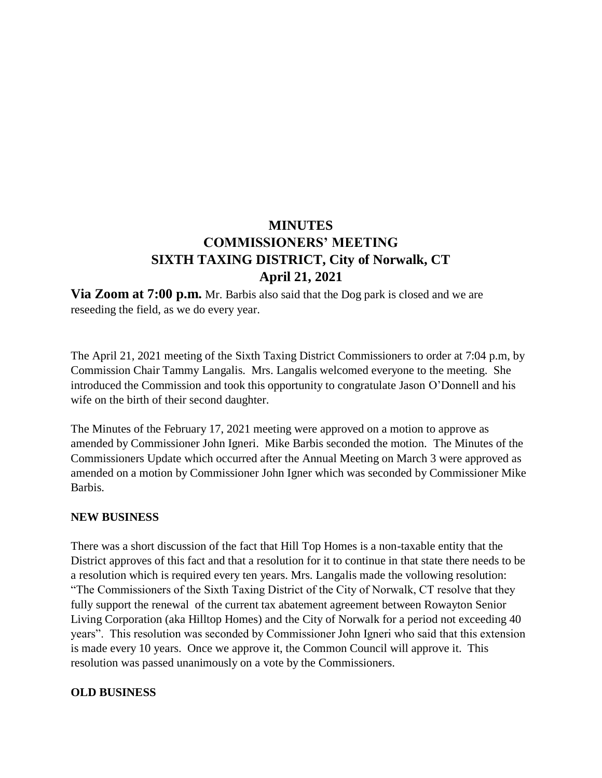# **MINUTES COMMISSIONERS' MEETING SIXTH TAXING DISTRICT, City of Norwalk, CT April 21, 2021**

**Via Zoom at 7:00 p.m.** Mr. Barbis also said that the Dog park is closed and we are reseeding the field, as we do every year.

The April 21, 2021 meeting of the Sixth Taxing District Commissioners to order at 7:04 p.m, by Commission Chair Tammy Langalis. Mrs. Langalis welcomed everyone to the meeting. She introduced the Commission and took this opportunity to congratulate Jason O'Donnell and his wife on the birth of their second daughter.

The Minutes of the February 17, 2021 meeting were approved on a motion to approve as amended by Commissioner John Igneri. Mike Barbis seconded the motion. The Minutes of the Commissioners Update which occurred after the Annual Meeting on March 3 were approved as amended on a motion by Commissioner John Igner which was seconded by Commissioner Mike Barbis.

### **NEW BUSINESS**

There was a short discussion of the fact that Hill Top Homes is a non-taxable entity that the District approves of this fact and that a resolution for it to continue in that state there needs to be a resolution which is required every ten years. Mrs. Langalis made the vollowing resolution: "The Commissioners of the Sixth Taxing District of the City of Norwalk, CT resolve that they fully support the renewal of the current tax abatement agreement between Rowayton Senior Living Corporation (aka Hilltop Homes) and the City of Norwalk for a period not exceeding 40 years". This resolution was seconded by Commissioner John Igneri who said that this extension is made every 10 years. Once we approve it, the Common Council will approve it. This resolution was passed unanimously on a vote by the Commissioners.

#### **OLD BUSINESS**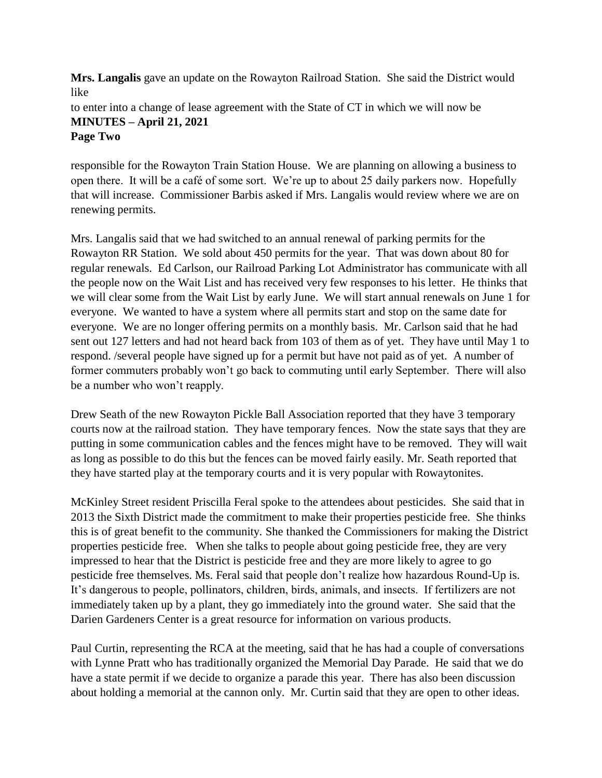**Mrs. Langalis** gave an update on the Rowayton Railroad Station. She said the District would like

to enter into a change of lease agreement with the State of CT in which we will now be **MINUTES – April 21, 2021 Page Two**

responsible for the Rowayton Train Station House. We are planning on allowing a business to open there. It will be a café of some sort. We're up to about 25 daily parkers now. Hopefully that will increase. Commissioner Barbis asked if Mrs. Langalis would review where we are on renewing permits.

Mrs. Langalis said that we had switched to an annual renewal of parking permits for the Rowayton RR Station. We sold about 450 permits for the year. That was down about 80 for regular renewals. Ed Carlson, our Railroad Parking Lot Administrator has communicate with all the people now on the Wait List and has received very few responses to his letter. He thinks that we will clear some from the Wait List by early June. We will start annual renewals on June 1 for everyone. We wanted to have a system where all permits start and stop on the same date for everyone. We are no longer offering permits on a monthly basis. Mr. Carlson said that he had sent out 127 letters and had not heard back from 103 of them as of yet. They have until May 1 to respond. /several people have signed up for a permit but have not paid as of yet. A number of former commuters probably won't go back to commuting until early September. There will also be a number who won't reapply.

Drew Seath of the new Rowayton Pickle Ball Association reported that they have 3 temporary courts now at the railroad station. They have temporary fences. Now the state says that they are putting in some communication cables and the fences might have to be removed. They will wait as long as possible to do this but the fences can be moved fairly easily. Mr. Seath reported that they have started play at the temporary courts and it is very popular with Rowaytonites.

McKinley Street resident Priscilla Feral spoke to the attendees about pesticides. She said that in 2013 the Sixth District made the commitment to make their properties pesticide free. She thinks this is of great benefit to the community. She thanked the Commissioners for making the District properties pesticide free. When she talks to people about going pesticide free, they are very impressed to hear that the District is pesticide free and they are more likely to agree to go pesticide free themselves. Ms. Feral said that people don't realize how hazardous Round-Up is. It's dangerous to people, pollinators, children, birds, animals, and insects. If fertilizers are not immediately taken up by a plant, they go immediately into the ground water. She said that the Darien Gardeners Center is a great resource for information on various products.

Paul Curtin, representing the RCA at the meeting, said that he has had a couple of conversations with Lynne Pratt who has traditionally organized the Memorial Day Parade. He said that we do have a state permit if we decide to organize a parade this year. There has also been discussion about holding a memorial at the cannon only. Mr. Curtin said that they are open to other ideas.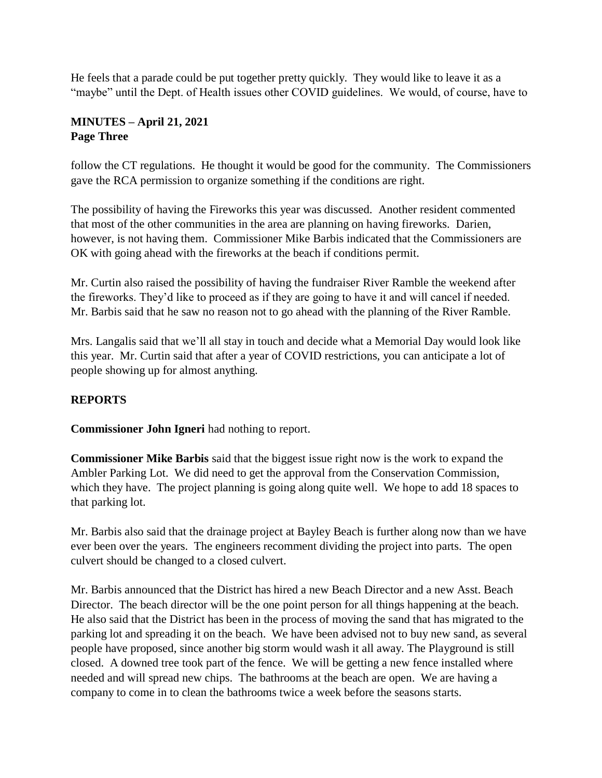He feels that a parade could be put together pretty quickly. They would like to leave it as a "maybe" until the Dept. of Health issues other COVID guidelines. We would, of course, have to

## **MINUTES – April 21, 2021 Page Three**

follow the CT regulations. He thought it would be good for the community. The Commissioners gave the RCA permission to organize something if the conditions are right.

The possibility of having the Fireworks this year was discussed. Another resident commented that most of the other communities in the area are planning on having fireworks. Darien, however, is not having them. Commissioner Mike Barbis indicated that the Commissioners are OK with going ahead with the fireworks at the beach if conditions permit.

Mr. Curtin also raised the possibility of having the fundraiser River Ramble the weekend after the fireworks. They'd like to proceed as if they are going to have it and will cancel if needed. Mr. Barbis said that he saw no reason not to go ahead with the planning of the River Ramble.

Mrs. Langalis said that we'll all stay in touch and decide what a Memorial Day would look like this year. Mr. Curtin said that after a year of COVID restrictions, you can anticipate a lot of people showing up for almost anything.

# **REPORTS**

**Commissioner John Igneri** had nothing to report.

**Commissioner Mike Barbis** said that the biggest issue right now is the work to expand the Ambler Parking Lot. We did need to get the approval from the Conservation Commission, which they have. The project planning is going along quite well. We hope to add 18 spaces to that parking lot.

Mr. Barbis also said that the drainage project at Bayley Beach is further along now than we have ever been over the years. The engineers recomment dividing the project into parts. The open culvert should be changed to a closed culvert.

Mr. Barbis announced that the District has hired a new Beach Director and a new Asst. Beach Director. The beach director will be the one point person for all things happening at the beach. He also said that the District has been in the process of moving the sand that has migrated to the parking lot and spreading it on the beach. We have been advised not to buy new sand, as several people have proposed, since another big storm would wash it all away. The Playground is still closed. A downed tree took part of the fence. We will be getting a new fence installed where needed and will spread new chips. The bathrooms at the beach are open. We are having a company to come in to clean the bathrooms twice a week before the seasons starts.